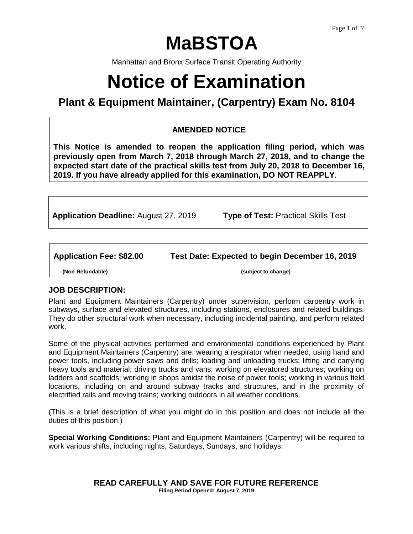# **MaBSTOA**

Manhattan and Bronx Surface Transit Operating Authority

# **Notice of Examination**

## **Plant & Equipment Maintainer, (Carpentry) Exam No. 8104**

## **AMENDED NOTICE**

**This Notice is amended to reopen the application filing period, which was previously open from March 7, 2018 through March 27, 2018, and to change the expected start date of the practical skills test from July 20, 2018 to December 16, 2019. If you have already applied for this examination, DO NOT REAPPLY.** 

**Application Deadline:** August 27, 2019 **Type of Test:** Practical Skills Test

| (Non-Refundable)                | (subject to change)                            |
|---------------------------------|------------------------------------------------|
| <b>Application Fee: \$82.00</b> | Test Date: Expected to begin December 16, 2019 |

#### **JOB DESCRIPTION:**

Plant and Equipment Maintainers (Carpentry) under supervision, perform carpentry work in subways, surface and elevated structures, including stations, enclosures and related buildings. They do other structural work when necessary, including incidental painting, and perform related work.

Some of the physical activities performed and environmental conditions experienced by Plant and Equipment Maintainers (Carpentry) are: wearing a respirator when needed; using hand and power tools, including power saws and drills; loading and unloading trucks; lifting and carrying heavy tools and material; driving trucks and vans; working on elevatored structures; working on ladders and scaffolds; working in shops amidst the noise of power tools; working in various field locations, including on and around subway tracks and structures, and in the proximity of electrified rails and moving trains; working outdoors in all weather conditions.

(This is a brief description of what you might do in this position and does not include all the duties of this position.)

**Special Working Conditions:** Plant and Equipment Maintainers (Carpentry) will be required to work various shifts, including nights, Saturdays, Sundays, and holidays.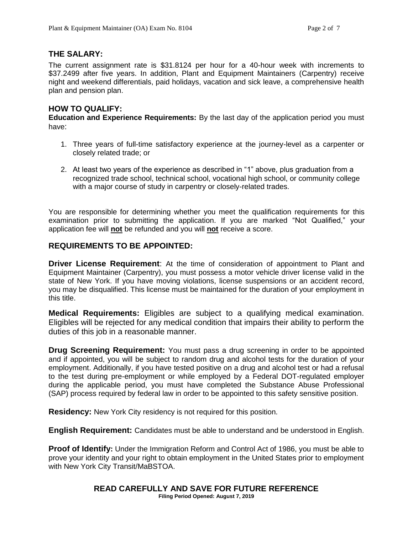## **THE SALARY:**

The current assignment rate is \$31.8124 per hour for a 40-hour week with increments to \$37.2499 after five years. In addition, Plant and Equipment Maintainers (Carpentry) receive night and weekend differentials, paid holidays, vacation and sick leave, a comprehensive health plan and pension plan.

## **HOW TO QUALIFY:**

**Education and Experience Requirements:** By the last day of the application period you must have:

- 1. Three years of full-time satisfactory experience at the journey-level as a carpenter or closely related trade; or
- 2. At least two years of the experience as described in "1" above, plus graduation from a recognized trade school, technical school, vocational high school, or community college with a major course of study in carpentry or closely-related trades.

You are responsible for determining whether you meet the qualification requirements for this examination prior to submitting the application. If you are marked "Not Qualified," your application fee will **not** be refunded and you will **not** receive a score.

## **REQUIREMENTS TO BE APPOINTED:**

**Driver License Requirement:** At the time of consideration of appointment to Plant and Equipment Maintainer (Carpentry), you must possess a motor vehicle driver license valid in the state of New York. If you have moving violations, license suspensions or an accident record, you may be disqualified. This license must be maintained for the duration of your employment in this title.

**Medical Requirements:** Eligibles are subject to a qualifying medical examination. Eligibles will be rejected for any medical condition that impairs their ability to perform the duties of this job in a reasonable manner.

**Drug Screening Requirement:** You must pass a drug screening in order to be appointed and if appointed, you will be subject to random drug and alcohol tests for the duration of your employment. Additionally, if you have tested positive on a drug and alcohol test or had a refusal to the test during pre-employment or while employed by a Federal DOT-regulated employer during the applicable period, you must have completed the Substance Abuse Professional (SAP) process required by federal law in order to be appointed to this safety sensitive position.

**Residency:** New York City residency is not required for this position.

**English Requirement:** Candidates must be able to understand and be understood in English.

**Proof of Identify:** Under the Immigration Reform and Control Act of 1986, you must be able to prove your identity and your right to obtain employment in the United States prior to employment with New York City Transit/MaBSTOA.

#### **READ CAREFULLY AND SAVE FOR FUTURE REFERENCE Filing Period Opened: August 7, 2019**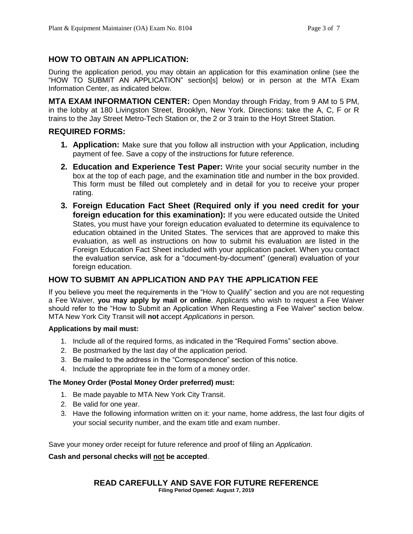## **HOW TO OBTAIN AN APPLICATION:**

During the application period, you may obtain an application for this examination online (see the "HOW TO SUBMIT AN APPLICATION" section[s] below) or in person at the MTA Exam Information Center, as indicated below.

**MTA EXAM INFORMATION CENTER:** Open Monday through Friday, from 9 AM to 5 PM, in the lobby at 180 Livingston Street, Brooklyn, New York. Directions: take the A, C, F or R trains to the Jay Street Metro-Tech Station or, the 2 or 3 train to the Hoyt Street Station.

## **REQUIRED FORMS:**

- **1. Application:** Make sure that you follow all instruction with your Application, including payment of fee. Save a copy of the instructions for future reference.
- **2. Education and Experience Test Paper:** Write your social security number in the box at the top of each page, and the examination title and number in the box provided. This form must be filled out completely and in detail for you to receive your proper rating.
- **3. Foreign Education Fact Sheet (Required only if you need credit for your foreign education for this examination):** If you were educated outside the United States, you must have your foreign education evaluated to determine its equivalence to education obtained in the United States. The services that are approved to make this evaluation, as well as instructions on how to submit his evaluation are listed in the Foreign Education Fact Sheet included with your application packet. When you contact the evaluation service, ask for a "document-by-document" (general) evaluation of your foreign education.

## **HOW TO SUBMIT AN APPLICATION AND PAY THE APPLICATION FEE**

If you believe you meet the requirements in the "How to Qualify" section and you are not requesting a Fee Waiver, **you may apply by mail or online**. Applicants who wish to request a Fee Waiver should refer to the "How to Submit an Application When Requesting a Fee Waiver" section below. MTA New York City Transit will **not** accept *Applications* in person.

#### **Applications by mail must:**

- 1. Include all of the required forms, as indicated in the "Required Forms" section above.
- 2. Be postmarked by the last day of the application period.
- 3. Be mailed to the address in the "Correspondence" section of this notice.
- 4. Include the appropriate fee in the form of a money order.

#### **The Money Order (Postal Money Order preferred) must:**

- 1. Be made payable to MTA New York City Transit.
- 2. Be valid for one year.
- 3. Have the following information written on it: your name, home address, the last four digits of your social security number, and the exam title and exam number.

Save your money order receipt for future reference and proof of filing an *Application*.

**Cash and personal checks will not be accepted**.

## **READ CAREFULLY AND SAVE FOR FUTURE REFERENCE**

**Filing Period Opened: August 7, 2019**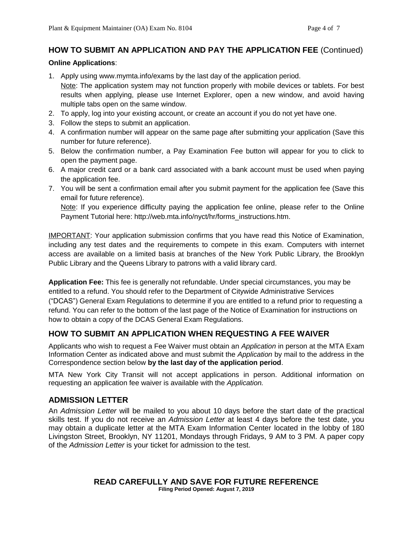## **HOW TO SUBMIT AN APPLICATION AND PAY THE APPLICATION FEE** (Continued)

#### **Online Applications**:

- 1. Apply using www.mymta.info/exams by the last day of the application period.
- Note: The application system may not function properly with mobile devices or tablets. For best results when applying, please use Internet Explorer, open a new window, and avoid having multiple tabs open on the same window.
- 2. To apply, log into your existing account, or create an account if you do not yet have one.
- 3. Follow the steps to submit an application.
- 4. A confirmation number will appear on the same page after submitting your application (Save this number for future reference).
- 5. Below the confirmation number, a Pay Examination Fee button will appear for you to click to open the payment page.
- 6. A major credit card or a bank card associated with a bank account must be used when paying the application fee.
- 7. You will be sent a confirmation email after you submit payment for the application fee (Save this email for future reference).

Note: If you experience difficulty paying the application fee online, please refer to the Online Payment Tutorial here: http://web.mta.info/nyct/hr/forms\_instructions.htm.

IMPORTANT: Your application submission confirms that you have read this Notice of Examination, including any test dates and the requirements to compete in this exam. Computers with internet access are available on a limited basis at branches of the New York Public Library, the Brooklyn Public Library and the Queens Library to patrons with a valid library card.

**Application Fee:** This fee is generally not refundable. Under special circumstances, you may be entitled to a refund. You should refer to the Department of Citywide Administrative Services ("DCAS") General Exam Regulations to determine if you are entitled to a refund prior to requesting a refund. You can refer to the bottom of the last page of the Notice of Examination for instructions on how to obtain a copy of the DCAS General Exam Regulations.

## **HOW TO SUBMIT AN APPLICATION WHEN REQUESTING A FEE WAIVER**

Applicants who wish to request a Fee Waiver must obtain an *Application* in person at the MTA Exam Information Center as indicated above and must submit the *Application* by mail to the address in the Correspondence section below **by the last day of the application period**.

MTA New York City Transit will not accept applications in person. Additional information on requesting an application fee waiver is available with the *Application.*

## **ADMISSION LETTER**

An *Admission Letter* will be mailed to you about 10 days before the start date of the practical skills test. If you do not receive an *Admission Letter* at least 4 days before the test date, you may obtain a duplicate letter at the MTA Exam Information Center located in the lobby of 180 Livingston Street, Brooklyn, NY 11201, Mondays through Fridays, 9 AM to 3 PM. A paper copy of the *Admission Letter* is your ticket for admission to the test.

#### **READ CAREFULLY AND SAVE FOR FUTURE REFERENCE Filing Period Opened: August 7, 2019**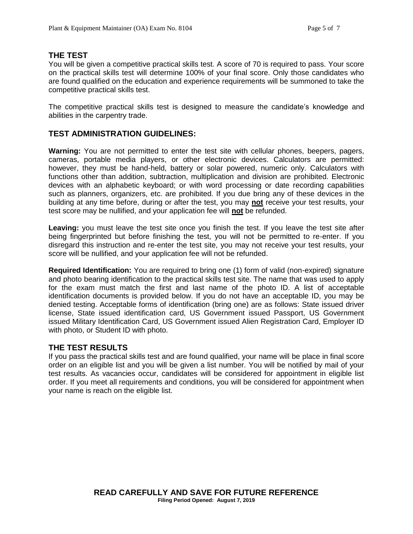## **THE TEST**

You will be given a competitive practical skills test. A score of 70 is required to pass. Your score on the practical skills test will determine 100% of your final score. Only those candidates who are found qualified on the education and experience requirements will be summoned to take the competitive practical skills test.

The competitive practical skills test is designed to measure the candidate's knowledge and abilities in the carpentry trade.

## **TEST ADMINISTRATION GUIDELINES:**

**Warning:** You are not permitted to enter the test site with cellular phones, beepers, pagers, cameras, portable media players, or other electronic devices. Calculators are permitted: however, they must be hand-held, battery or solar powered, numeric only. Calculators with functions other than addition, subtraction, multiplication and division are prohibited. Electronic devices with an alphabetic keyboard; or with word processing or date recording capabilities such as planners, organizers, etc. are prohibited. If you due bring any of these devices in the building at any time before, during or after the test, you may **not** receive your test results, your test score may be nullified, and your application fee will **not** be refunded.

**Leaving:** you must leave the test site once you finish the test. If you leave the test site after being fingerprinted but before finishing the test, you will not be permitted to re-enter. If you disregard this instruction and re-enter the test site, you may not receive your test results, your score will be nullified, and your application fee will not be refunded.

**Required Identification:** You are required to bring one (1) form of valid (non-expired) signature and photo bearing identification to the practical skills test site. The name that was used to apply for the exam must match the first and last name of the photo ID. A list of acceptable identification documents is provided below. If you do not have an acceptable ID, you may be denied testing. Acceptable forms of identification (bring one) are as follows: State issued driver license, State issued identification card, US Government issued Passport, US Government issued Military Identification Card, US Government issued Alien Registration Card, Employer ID with photo, or Student ID with photo.

#### **THE TEST RESULTS**

If you pass the practical skills test and are found qualified, your name will be place in final score order on an eligible list and you will be given a list number. You will be notified by mail of your test results. As vacancies occur, candidates will be considered for appointment in eligible list order. If you meet all requirements and conditions, you will be considered for appointment when your name is reach on the eligible list.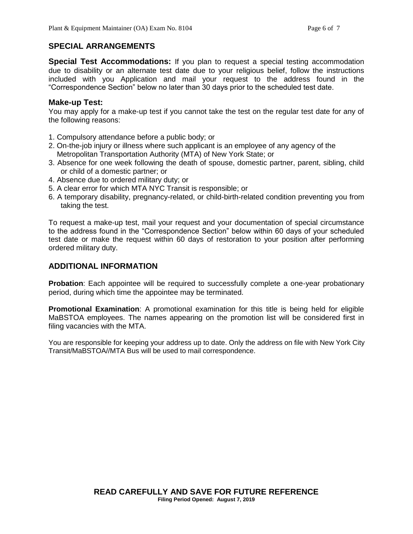## **SPECIAL ARRANGEMENTS**

**Special Test Accommodations:** If you plan to request a special testing accommodation due to disability or an alternate test date due to your religious belief, follow the instructions included with you Application and mail your request to the address found in the "Correspondence Section" below no later than 30 days prior to the scheduled test date.

#### **Make-up Test:**

You may apply for a make-up test if you cannot take the test on the regular test date for any of the following reasons:

- 1. Compulsory attendance before a public body; or
- 2. On-the-job injury or illness where such applicant is an employee of any agency of the Metropolitan Transportation Authority (MTA) of New York State; or
- 3. Absence for one week following the death of spouse, domestic partner, parent, sibling, child or child of a domestic partner; or
- 4. Absence due to ordered military duty; or
- 5. A clear error for which MTA NYC Transit is responsible; or
- 6. A temporary disability, pregnancy-related, or child-birth-related condition preventing you from taking the test.

To request a make-up test, mail your request and your documentation of special circumstance to the address found in the "Correspondence Section" below within 60 days of your scheduled test date or make the request within 60 days of restoration to your position after performing ordered military duty.

## **ADDITIONAL INFORMATION**

**Probation**: Each appointee will be required to successfully complete a one-year probationary period, during which time the appointee may be terminated.

**Promotional Examination**: A promotional examination for this title is being held for eligible MaBSTOA employees. The names appearing on the promotion list will be considered first in filing vacancies with the MTA.

You are responsible for keeping your address up to date. Only the address on file with New York City Transit/MaBSTOA//MTA Bus will be used to mail correspondence.